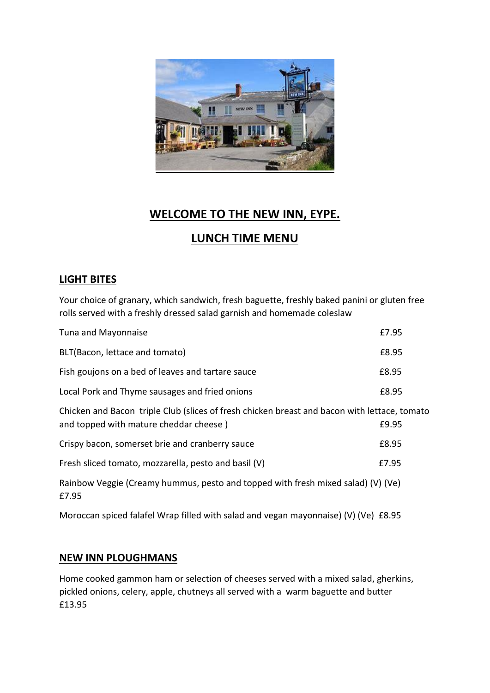

# **WELCOME TO THE NEW INN, EYPE.**

# **LUNCH TIME MENU**

# **LIGHT BITES**

Your choice of granary, which sandwich, fresh baguette, freshly baked panini or gluten free rolls served with a freshly dressed salad garnish and homemade coleslaw

| Tuna and Mayonnaise                                                                                                                    | £7.95 |
|----------------------------------------------------------------------------------------------------------------------------------------|-------|
| BLT(Bacon, lettace and tomato)                                                                                                         | £8.95 |
| Fish goujons on a bed of leaves and tartare sauce                                                                                      | £8.95 |
| Local Pork and Thyme sausages and fried onions                                                                                         | £8.95 |
| Chicken and Bacon triple Club (slices of fresh chicken breast and bacon with lettace, tomato<br>and topped with mature cheddar cheese) | £9.95 |
| Crispy bacon, somerset brie and cranberry sauce                                                                                        | £8.95 |
| Fresh sliced tomato, mozzarella, pesto and basil (V)                                                                                   | £7.95 |
| Rainbow Veggie (Creamy hummus, pesto and topped with fresh mixed salad) (V) (Ve)<br>£7.95                                              |       |

Moroccan spiced falafel Wrap filled with salad and vegan mayonnaise) (V) (Ve) £8.95

#### **NEW INN PLOUGHMANS**

Home cooked gammon ham or selection of cheeses served with a mixed salad, gherkins, pickled onions, celery, apple, chutneys all served with a warm baguette and butter £13.95